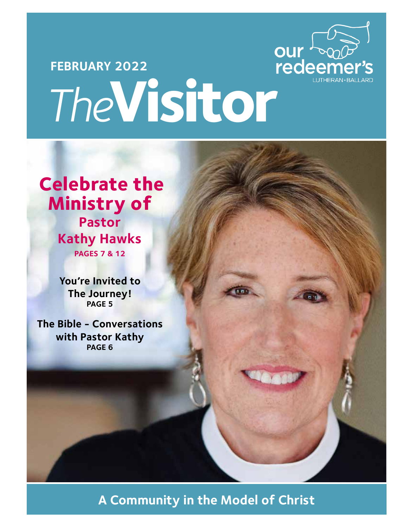

# **FEBRUARY 2022** *The***Visitor**

# **Celebrate the Ministry of Pastor**

**Kathy Hawks PAGES 7 & 12**

**You're Invited to The Journey! PAGE 5**

**The Bible - Conversations with Pastor Kathy PAGE 6**

**A Community in the Model of Christ**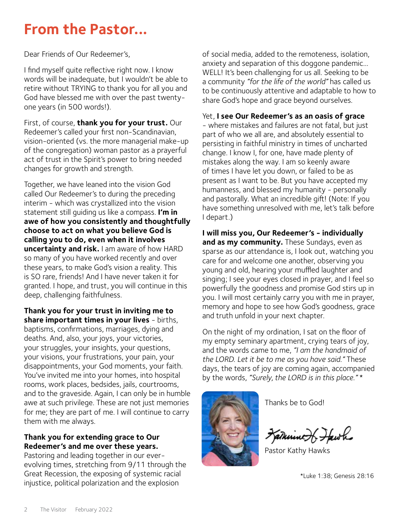# **From the Pastor...**

Dear Friends of Our Redeemer's,

I find myself quite reflective right now. I know words will be inadequate, but I wouldn't be able to retire without TRYING to thank you for all you and God have blessed me with over the past twentyone years (in 500 words!).

First, of course, **thank you for your trust.** Our Redeemer's called your first non-Scandinavian, vision-oriented (vs. the more managerial make-up of the congregation) woman pastor as a prayerful act of trust in the Spirit's power to bring needed changes for growth and strength.

Together, we have leaned into the vision God called Our Redeemer's to during the preceding interim - which was crystallized into the vision statement still guiding us like a compass. **I'm in awe of how you consistently and thoughtfully choose to act on what you believe God is calling you to do, even when it involves uncertainty and risk.** I am aware of how HARD so many of you have worked recently and over these years, to make God's vision a reality. This is SO rare, friends! And I have never taken it for granted. I hope, and trust, you will continue in this deep, challenging faithfulness.

**Thank you for your trust in inviting me to share important times in your lives** - births, baptisms, confirmations, marriages, dying and deaths. And, also, your joys, your victories, your struggles, your insights, your questions, your visions, your frustrations, your pain, your disappointments, your God moments, your faith. You've invited me into your homes, into hospital rooms, work places, bedsides, jails, courtrooms, and to the graveside. Again, I can only be in humble awe at such privilege. These are not just memories for me; they are part of me. I will continue to carry them with me always.

#### **Thank you for extending grace to Our Redeemer's and me over these years.**

Pastoring and leading together in our everevolving times, stretching from 9/11 through the Great Recession, the exposing of systemic racial injustice, political polarization and the explosion

of social media, added to the remoteness, isolation, anxiety and separation of this doggone pandemic… WELL! It's been challenging for us all. Seeking to be a community *"for the life of the world"* has called us to be continuously attentive and adaptable to how to share God's hope and grace beyond ourselves.

#### Yet, **I see Our Redeemer's as an oasis of grace**

- where mistakes and failures are not fatal, but just part of who we all are, and absolutely essential to persisting in faithful ministry in times of uncharted change. I know I, for one, have made plenty of mistakes along the way. I am so keenly aware of times I have let you down, or failed to be as present as I want to be. But you have accepted my humanness, and blessed my humanity - personally and pastorally. What an incredible gift! (Note: If you have something unresolved with me, let's talk before I depart.)

**I will miss you, Our Redeemer's - individually and as my community.** These Sundays, even as sparse as our attendance is, I look out, watching you care for and welcome one another, observing you young and old, hearing your muffled laughter and singing; I see your eyes closed in prayer, and I feel so powerfully the goodness and promise God stirs up in you. I will most certainly carry you with me in prayer, memory and hope to see how God's goodness, grace and truth unfold in your next chapter.

On the night of my ordination, I sat on the floor of my empty seminary apartment, crying tears of joy, and the words came to me, *"I am the handmaid of the LORD. Let it be to me as you have said."* These days, the tears of joy are coming again, accompanied by the words, *"Surely, the LORD is in this place."* \*



Thanks be to God!

Fatherine of Fawh

Pastor Kathy Hawks

\*Luke 1:38; Genesis 28:16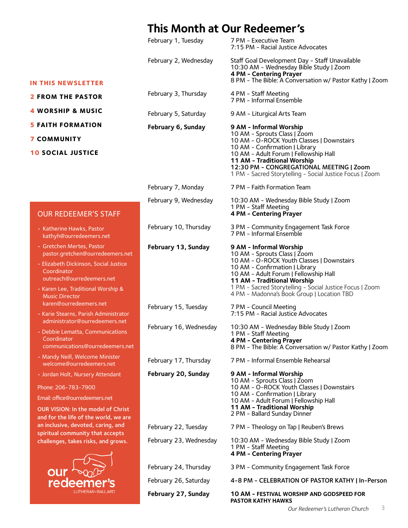## **This Month at Our Redeemer's**

|                                                                                                                                                                                                                   | February 1, Tuesday    | 7 PM - Executive Team<br>7:15 PM - Racial Justice Advocates                                                                                                                                                                                                                                                              |
|-------------------------------------------------------------------------------------------------------------------------------------------------------------------------------------------------------------------|------------------------|--------------------------------------------------------------------------------------------------------------------------------------------------------------------------------------------------------------------------------------------------------------------------------------------------------------------------|
|                                                                                                                                                                                                                   | February 2, Wednesday  | Staff Goal Development Day - Staff Unavailable<br>10:30 AM - Wednesday Bible Study   Zoom<br>4 PM - Centering Prayer                                                                                                                                                                                                     |
| <b>IN THIS NEWSLETTER</b>                                                                                                                                                                                         |                        | 8 PM - The Bible: A Conversation w/ Pastor Kathy   Zoom                                                                                                                                                                                                                                                                  |
| <b>2 FROM THE PASTOR</b>                                                                                                                                                                                          | February 3, Thursday   | 4 PM - Staff Meeting<br>7 PM - Informal Ensemble                                                                                                                                                                                                                                                                         |
| <b>4 WORSHIP &amp; MUSIC</b>                                                                                                                                                                                      | February 5, Saturday   | 9 AM - Liturgical Arts Team                                                                                                                                                                                                                                                                                              |
| <b>5 FAITH FORMATION</b>                                                                                                                                                                                          | February 6, Sunday     | 9 AM - Informal Worship                                                                                                                                                                                                                                                                                                  |
| <b>7 COMMUNITY</b>                                                                                                                                                                                                |                        | 10 AM - Sprouts Class   Zoom<br>10 AM - O-ROCK Youth Classes   Downstairs                                                                                                                                                                                                                                                |
| <b>10 SOCIAL JUSTICE</b>                                                                                                                                                                                          |                        | 10 AM - Confirmation   Library<br>10 AM - Adult Forum   Fellowship Hall<br>11 AM - Traditional Worship<br>12:30 PM - CONGREGATIONAL MEETING   Zoom<br>1 PM - Sacred Storytelling - Social Justice Focus   Zoom                                                                                                           |
|                                                                                                                                                                                                                   | February 7, Monday     | 7 PM - Faith Formation Team                                                                                                                                                                                                                                                                                              |
| <b>OUR REDEEMER'S STAFF</b>                                                                                                                                                                                       | February 9, Wednesday  | 10:30 AM - Wednesday Bible Study   Zoom<br>1 PM - Staff Meeting<br>4 PM - Centering Prayer                                                                                                                                                                                                                               |
| • Katherine Hawks, Pastor<br>kathyh@ourredeemers.net                                                                                                                                                              | February 10, Thursday  | 3 PM - Community Engagement Task Force<br>7 PM - Informal Ensemble                                                                                                                                                                                                                                                       |
| • Gretchen Mertes, Pastor<br>pastor.gretchen@ourredeemers.net<br>· Elizabeth Dickinson, Social Justice<br>Coordinator<br>outreach@ourredeemers.net<br>· Karen Lee, Traditional Worship &<br><b>Music Director</b> | February 13, Sunday    | 9 AM - Informal Worship<br>10 AM - Sprouts Class   Zoom<br>10 AM - O-ROCK Youth Classes   Downstairs<br>10 AM - Confirmation   Library<br>10 AM - Adult Forum   Fellowship Hall<br>11 AM - Traditional Worship<br>1 PM - Sacred Storytelling - Social Justice Focus   Zoom<br>4 PM - Madonna's Book Group   Location TBD |
| karen@ourredeemers.net<br>• Karie Stearns, Parish Administrator                                                                                                                                                   | February 15, Tuesday   | 7 PM - Council Meeting<br>7:15 PM - Racial Justice Advocates                                                                                                                                                                                                                                                             |
| administrator@ourredeemers.net<br>• Debbie Lematta, Communications<br>Coordinator<br>communications@ourredeemers.net                                                                                              | February 16, Wednesday | 10:30 AM - Wednesday Bible Study   Zoom<br>1 PM - Staff Meeting<br>4 PM - Centering Prayer<br>8 PM - The Bible: A Conversation w/ Pastor Kathy   Zoom                                                                                                                                                                    |
| • Mandy Neill, Welcome Minister<br>welcome@ourredeemers.net                                                                                                                                                       | February 17, Thursday  | 7 PM - Informal Ensemble Rehearsal                                                                                                                                                                                                                                                                                       |
| · Jordan Holt, Nursery Attendant                                                                                                                                                                                  | February 20, Sunday    | 9 AM - Informal Worship<br>10 AM - Sprouts Class   Zoom                                                                                                                                                                                                                                                                  |
| Phone: 206-783-7900                                                                                                                                                                                               |                        | 10 AM - O-ROCK Youth Classes   Downstairs                                                                                                                                                                                                                                                                                |
| Email: office@ourredeemers.net                                                                                                                                                                                    |                        | 10 AM - Confirmation   Library<br>10 AM - Adult Forum   Fellowship Hall                                                                                                                                                                                                                                                  |
| <b>OUR VISION: In the model of Christ</b><br>and for the life of the world, we are                                                                                                                                |                        | 11 AM - Traditional Worship<br>2 PM - Ballard Sunday Dinner                                                                                                                                                                                                                                                              |
| an inclusive, devoted, caring, and<br>spiritual community that accepts                                                                                                                                            | February 22, Tuesday   | 7 PM - Theology on Tap   Reuben's Brews                                                                                                                                                                                                                                                                                  |
| challenges, takes risks, and grows.                                                                                                                                                                               | February 23, Wednesday | 10:30 AM - Wednesday Bible Study   Zoom<br>1 PM - Staff Meeting<br>4 PM - Centering Prayer                                                                                                                                                                                                                               |
|                                                                                                                                                                                                                   | February 24, Thursday  | 3 PM - Community Engagement Task Force                                                                                                                                                                                                                                                                                   |
| redee                                                                                                                                                                                                             | February 26, Saturday  | 4-8 PM - CELEBRATION OF PASTOR KATHY   In-Person                                                                                                                                                                                                                                                                         |
| LUTHERAN · BALLARD                                                                                                                                                                                                | February 27, Sunday    | 10 AM - FESTIVAL WORSHIP AND GODSPEED FOR<br><b>PASTOR KATHY HAWKS</b>                                                                                                                                                                                                                                                   |

### OUR REDEEMER'S S

- Katherine Hawks, Pasto kathyh@ourredeemers.
- Gretchen Mertes, Pasto pastor.gretchen@ourred
- Elizabeth Dickinson, Soci Coordinator outreach@ourredeemer
- $\cdot$  Karen Lee, Traditional W Music Director karen@ourredeemers.ne
- $\cdot$  Karie Stearns, Parish Ad administrator@ourredee
- Debbie Lematta, Commi Coordinator communications@ourre
- Mandy Neill, Welcome M welcome@ourredeemer
- Jordan Holt, Nursery Att

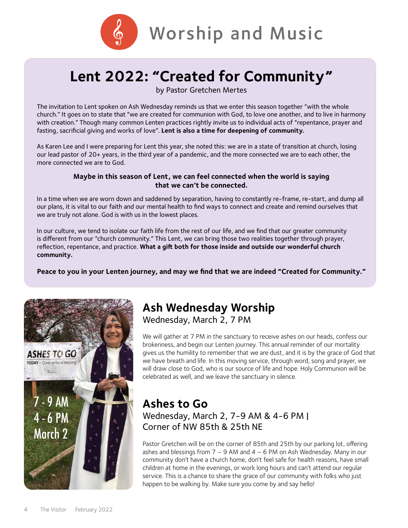

# **Lent 2022: "Created for Community"**

by Pastor Gretchen Mertes

The invitation to Lent spoken on Ash Wednesday reminds us that we enter this season together "with the whole church." It goes on to state that "we are created for communion with God, to love one another, and to live in harmony with creation." Though many common Lenten practices rightly invite us to individual acts of "repentance, prayer and fasting, sacrificial giving and works of love". **Lent is also a time for deepening of community.**

As Karen Lee and I were preparing for Lent this year, she noted this: we are in a state of transition at church, losing our lead pastor of 20+ years, in the third year of a pandemic, and the more connected we are to each other, the more connected we are to God.

#### **Maybe in this season of Lent, we can feel connected when the world is saying that we can't be connected.**

In a time when we are worn down and saddened by separation, having to constantly re-frame, re-start, and dump all our plans, it is vital to our faith and our mental health to find ways to connect and create and remind ourselves that we are truly not alone. God is with us in the lowest places.

In our culture, we tend to isolate our faith life from the rest of our life, and we find that our greater community is different from our "church community." This Lent, we can bring those two realities together through prayer, reflection, repentance, and practice. **What a gift both for those inside and outside our wonderful church community.**

**Peace to you in your Lenten journey, and may we find that we are indeed "Created for Community."**



# **Ash Wednesday Worship**

Wednesday, March 2, 7 PM

We will gather at 7 PM in the sanctuary to receive ashes on our heads, confess our brokenness, and begin our Lenten journey. This annual reminder of our mortality gives us the humility to remember that we are dust, and it is by the grace of God that we have breath and life. In this moving service, through word, song and prayer, we will draw close to God, who is our source of life and hope. Holy Communion will be celebrated as well, and we leave the sanctuary in silence.

### **Ashes to Go** Wednesday, March 2, 7-9 AM & 4-6 PM | Corner of NW 85th & 25th NE

Pastor Gretchen will be on the corner of 85th and 25th by our parking lot, offering ashes and blessings from  $7 - 9$  AM and  $4 - 6$  PM on Ash Wednesday. Many in our community don't have a church home, don't feel safe for health reasons, have small children at home in the evenings, or work long hours and can't attend our regular service. This is a chance to share the grace of our community with folks who just happen to be walking by. Make sure you come by and say hello!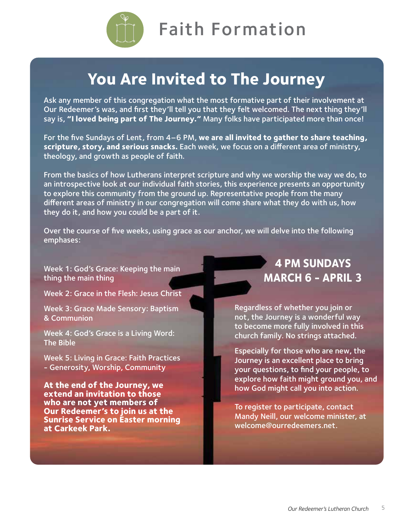

# **You Are Invited to The Journey**

Ask any member of this congregation what the most formative part of their involvement at Our Redeemer's was, and first they'll tell you that they felt welcomed. The next thing they'll say is, **"I loved being part of The Journey."** Many folks have participated more than once!

For the five Sundays of Lent, from 4–6 PM, **we are all invited to gather to share teaching, scripture, story, and serious snacks.** Each week, we focus on a different area of ministry, theology, and growth as people of faith.

From the basics of how Lutherans interpret scripture and why we worship the way we do, to an introspective look at our individual faith stories, this experience presents an opportunity to explore this community from the ground up. Representative people from the many different areas of ministry in our congregation will come share what they do with us, how they do it, and how you could be a part of it.

Over the course of five weeks, using grace as our anchor, we will delve into the following emphases:

Week 1: God's Grace: Keeping the main thing the main thing

Week 2: Grace in the Flesh: Jesus Christ

Week 3: Grace Made Sensory: Baptism & Communion

Week 4: God's Grace is a Living Word: The Bible

Week 5: Living in Grace: Faith Practices - Generosity, Worship, Community

**At the end of the Journey, we extend an invitation to those who are not yet members of Our Redeemer's to join us at the Sunrise Service on Easter morning at Carkeek Park.** 

# **4 PM SUNDAYS MARCH 6 - APRIL 3**

Regardless of whether you join or not, the Journey is a wonderful way to become more fully involved in this church family. No strings attached.

Especially for those who are new, the Journey is an excellent place to bring your questions, to find your people, to explore how faith might ground you, and how God might call you into action.

To register to participate, contact Mandy Neill, our welcome minister, at [welcome@ourredeemers.net.](mailto:welcome%40ourredeemers.net?subject=)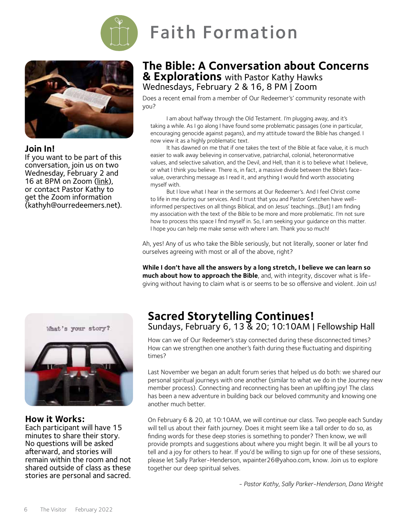



#### **Join In!**

If you want to be part of this conversation, join us on two Wednesday, February 2 and 16 at 8PM on Zoom ([link\)](https://zoom.us/j/2763809344?pwd=c2tBMDVPU1VDQXY1UFpZSFR0cklqZz09), or contact Pastor Kathy to get the Zoom information ([kathyh@ourredeemers.net](mailto:kathyh%40ourredeemers.net?subject=)).



#### **How it Works:**

Each participant will have 15 minutes to share their story. No questions will be asked afterward, and stories will remain within the room and not shared outside of class as these stories are personal and sacred.

### **The Bible: A Conversation about Concerns & Explorations** with Pastor Kathy Hawks Wednesdays, February 2 & 16, 8 PM | [Zoom](https://zoom.us/j/2763809344?pwd=c2tBMDVPU1VDQXY1UFpZSFR0cklqZz09
)

Does a recent email from a member of Our Redeemer's' community resonate with you?

I am about halfway through the Old Testament. I'm plugging away, and it's taking a while. As I go along I have found some problematic passages (one in particular, encouraging genocide against pagans), and my attitude toward the Bible has changed. I now view it as a highly problematic text.

It has dawned on me that if one takes the text of the Bible at face value, it is much easier to walk away believing in conservative, patriarchal, colonial, heteronormative values, and selective salvation, and the Devil, and Hell, than it is to believe what I believe, or what I think you believe. There is, in fact, a massive divide between the Bible's facevalue, overarching message as I read it, and anything I would find worth associating myself with.

But I love what I hear in the sermons at Our Redeemer's. And I feel Christ come to life in me during our services. And I trust that you and Pastor Gretchen have wellinformed perspectives on all things Biblical, and on Jesus' teachings…[But] I am finding my association with the text of the Bible to be more and more problematic. I'm not sure how to process this space I find myself in. So, I am seeking your guidance on this matter. I hope you can help me make sense with where I am. Thank you so much!

Ah, yes! Any of us who take the Bible seriously, but not literally, sooner or later find ourselves agreeing with most or all of the above, right?

**While I don't have all the answers by a long stretch, I believe we can learn so much about how to approach the Bible**, and, with integrity, discover what is lifegiving without having to claim what is or seems to be so offensive and violent. Join us!

### **Sacred Storytelling Continues!** Sundays, February 6, 13 & 20; 10:10AM | Fellowship Hall

How can we of Our Redeemer's stay connected during these disconnected times? How can we strengthen one another's faith during these fluctuating and dispiriting times?

Last November we began an adult forum series that helped us do both: we shared our personal spiritual journeys with one another (similar to what we do in the Journey new member process). Connecting and reconnecting has been an uplifting joy! The class has been a new adventure in building back our beloved community and knowing one another much better.

On February 6 & 20, at 10:10AM, we will continue our class. Two people each Sunday will tell us about their faith journey. Does it might seem like a tall order to do so, as finding words for these deep stories is something to ponder? Then know, we will provide prompts and suggestions about where you might begin. It will be all yours to tell and a joy for others to hear. If you'd be willing to sign up for one of these sessions, please let Sally Parker-Henderson, [wpainter26@yahoo.com,](mailto:wpainter26%40yahoo.com?subject=) know. Join us to explore together our deep spiritual selves.

*- Pastor Kathy, Sally Parker-Henderson, Dana Wright*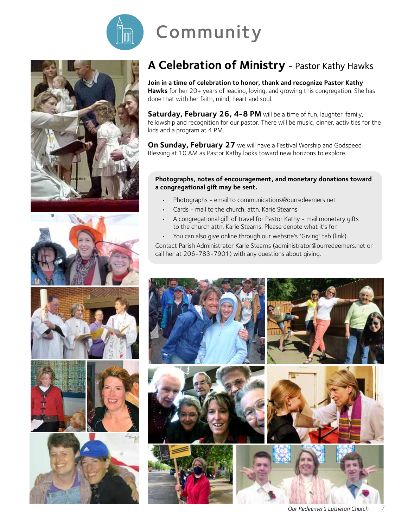

# Community











# **A Celebration of Ministry** - Pastor Kathy Hawks

**Join in a time of celebration to honor, thank and recognize Pastor Kathy Hawks** for her 20+ years of leading, loving, and growing this congregation. She has done that with her faith, mind, heart and soul.

**Saturday, February 26, 4-8 PM** will be a time of fun, laughter, family, fellowship and recognition for our pastor. There will be music, dinner, activities for the kids and a program at 4 PM.

**On Sunday, February 27** we will have a Festival Worship and Godspeed Blessing at 10 AM as Pastor Kathy looks toward new horizons to explore.

#### **Photographs, notes of encouragement, and monetary donations toward a congregational gift may be sent.**

- Photographs email to [communications@ourredeemers.net](mailto:communications%40ourredeemers.net?subject=)
- Cards mail to the church, attn. Karie Stearns
- A congregational gift of travel for Pastor Kathy mail monetary gifts to the church attn. Karie Stearns. Please denote what it's for.
- You can also give online through our website's "Giving" tab ([link\)](https://secure.myvanco.com/L-YZKA/home).

Contact Parish Administrator Karie Stearns (administrator@ourredeemers.net or call her at 206-783-7901) with any questions about giving.

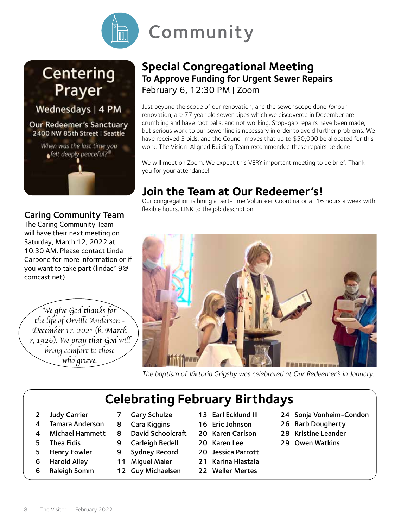

# Centering Prayer

Wednesdays | 4 PM

Our Redeemer's Sanctuary 2400 NW 85th Street | Seattle



### Caring Community Team

The Caring Community Team will have their next meeting on Saturday, March 12, 2022 at 10:30 AM. Please contact Linda Carbone for more information or if you want to take part ([lindac19@](mailto:lindac19%40comcast.net?subject=) [comcast.net](mailto:lindac19%40comcast.net?subject=)).

*We give God thanks for the life of Orville Anderson - December 17, 2021 (b. March 7, 1926). We pray that God will bring comfort to those who grieve.*

### **Special Congregational Meeting To Approve Funding for Urgent Sewer Repairs** February 6, 12:30 PM | Zoom

Just beyond the scope of our renovation, and the sewer scope done *for* our renovation, are 77 year old sewer pipes which we discovered in December are crumbling and have root balls, and not working. Stop-gap repairs have been made, but serious work to our sewer line is necessary in order to avoid further problems. We have received 3 bids, and the Council moves that up to \$50,000 be allocated for this work. The Vision-Aligned Building Team recommended these repairs be done.

We will meet on Zoom. We expect this VERY important meeting to be brief. Thank you for your attendance!

# **Join the Team at Our Redeemer's!**

Our congregation is hiring a part-time Volunteer Coordinator at 16 hours a week with flexible hours. [LINK to the job description.](https://ourredeemers.net/wp-content/uploads/jobdescription.pdf)



*The baptism of Viktoria Grigsby was celebrated at Our Redeemer's in January.*

# **Celebrating February Birthdays**

- 2 Judy Carrier
- 4 Tamara Anderson
- 4 Michael Hammett
- 5 Thea Fidis
- 5 Henry Fowler
- 6 Harold Alley
- 6 Raleigh Somm
- 7 Gary Schulze
- 8 Cara Kiggins
- 8 David Schoolcraft
- 9 Carleigh Bedell
- 9 Sydney Record
- 11 Miguel Maier
- 12 Guy Michaelsen
- 13 Earl Ecklund III
- 16 Eric Johnson
- 20 Karen Carlson
- 20 Karen Lee
- 20 Jessica Parrott
- 21 Karina Hlastala
- 22 Weller Mertes
- 24 Sonja Vonheim-Condon
- 26 Barb Dougherty
- 28 Kristine Leander
- 29 Owen Watkins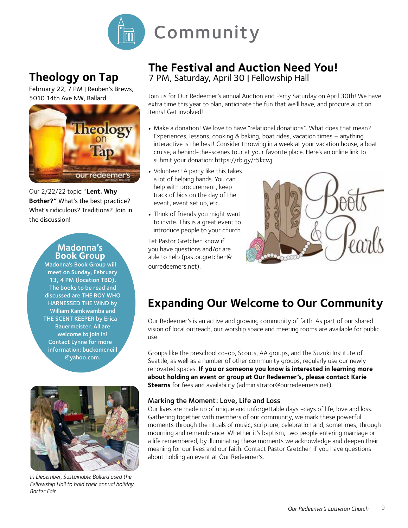

# **Theology on Tap**

February 22, 7 PM | Reuben's Brews, 5010 14th Ave NW, Ballard



Our 2/22/22 topic: "**Lent. Why Bother?"** What's the best practice? What's ridiculous? Traditions? Join in the discussion!

#### **Madonna's Book Group**

Madonna's Book Group will meet on Sunday, February 13, 4 PM (location TBD). The books to be read and discussed are THE BOY WHO HARNESSED THE WIND by William Kamkwamba and THE SCENT KEEPER by Erica Bauermeister. All are welcome to join in! Contact Lynne for more information: buckomcneill @yahoo.com.



*In December, Sustainable Ballard used the Fellowship Hall to hold their annual holiday Barter Fair.*

# **The Festival and Auction Need You!**

7 PM, Saturday, April 30 | Fellowship Hall

Join us for Our Redeemer's annual Auction and Party Saturday on April 30th! We have extra time this year to plan, anticipate the fun that we'll have, and procure auction items! Get involved!

- Make a donation! We love to have "relational donations". What does that mean? Experiences, lessons, cooking & baking, boat rides, vacation times – anything interactive is the best! Consider throwing in a week at your vacation house, a boat cruise, a behind-the-scenes tour at your favorite place. Here's an online link to submit your donation: <https://rb.gy/r5kcwj>
- Volunteer! A party like this takes a lot of helping hands. You can help with procurement, keep track of bids on the day of the event, event set up, etc.
- Think of friends you might want to invite. This is a great event to introduce people to your church.

Let Pastor Gretchen know if you have questions and/or are able to help [\(pastor.gretchen@](mailto:pastor.gretchen%40ourredeemers.net?subject=) [ourredeemers.net\)](mailto:pastor.gretchen%40ourredeemers.net?subject=).



# **Expanding Our Welcome to Our Community**

Our Redeemer's is an active and growing community of faith. As part of our shared vision of local outreach, our worship space and meeting rooms are available for public use.

Groups like the preschool co-op, Scouts, AA groups, and the Suzuki Institute of Seattle, as well as a number of other community groups, regularly use our newly renovated spaces. **If you or someone you know is interested in learning more about holding an event or group at Our Redeemer's, please contact Karie Stearns** for fees and availability (administrator@ourredeemers.net).

#### Marking the Moment: Love, Life and Loss

Our lives are made up of unique and unforgettable days -days of life, love and loss. Gathering together with members of our community, we mark these powerful moments through the rituals of music, scripture, celebration and, sometimes, through mourning and remembrance. Whether it's baptism, two people entering marriage or a life remembered, by illuminating these moments we acknowledge and deepen their meaning for our lives and our faith. Contact Pastor Gretchen if you have questions about holding an event at Our Redeemer's.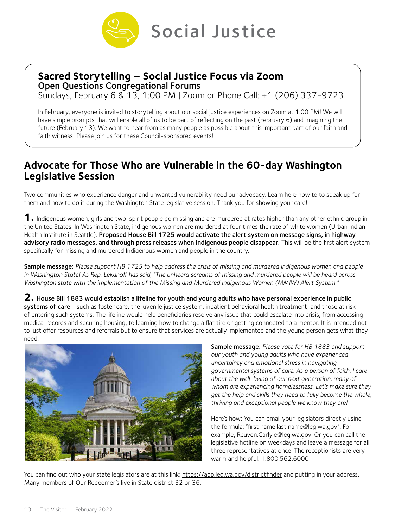

### **Sacred Storytelling – Social Justice Focus via Zoom**

Open Questions Congregational Forums

Sundays, February 6 & 13, 1:00 PM | [Zoom](https://zoom.us/j/91956051062?pwd=QnZkdDZxQ2VoUE01TXo2VlhtVkpuQT09
Join by Phone Call: +1 (206) 337-9723

) or Phone Call: +1 (206) 337-9723

In February, everyone is invited to storytelling about our social justice experiences on Zoom at 1:00 PM! We will have simple prompts that will enable all of us to be part of reflecting on the past (February 6) and imagining the future (February 13). We want to hear from as many people as possible about this important part of our faith and faith witness! Please join us for these Council-sponsored events!

### **Advocate for Those Who are Vulnerable in the 60-day Washington Legislative Session**

Two communities who experience danger and unwanted vulnerability need our advocacy. Learn here how to to speak up for them and how to do it during the Washington State legislative session. Thank you for showing your care!

**1.** Indigenous women, girls and two-spirit people go missing and are murdered at rates higher than any other ethnic group in the United States. In Washington State, indigenous women are murdered at four times the rate of white women (Urban Indian Health Institute in Seattle). Proposed House Bill 1725 would activate the alert system on message signs, in highway advisory radio messages, and through press releases when Indigenous people disappear. This will be the first alert system specifically for missing and murdered Indigenous women and people in the country.

Sample message: *Please support HB 1725 to help address the crisis of missing and murdered indigenous women and people in Washington State! As Rep. Lekanoff has said, "The unheard screams of missing and murdered people will be heard across Washington state with the implementation of the Missing and Murdered Indigenous Women (MMIW) Alert System."* 

**2.** House Bill 1883 would establish a lifeline for youth and young adults who have personal experience in public systems of care - such as foster care, the juvenile justice system, inpatient behavioral health treatment, and those at risk of entering such systems. The lifeline would help beneficiaries resolve any issue that could escalate into crisis, from accessing medical records and securing housing, to learning how to change a flat tire or getting connected to a mentor. It is intended not to just offer resources and referrals but to ensure that services are actually implemented and the young person gets what they need.



Sample message: *Please vote for HB 1883 and support our youth and young adults who have experienced uncertainty and emotional stress in navigating governmental systems of care. As a person of faith, I care about the well-being of our next generation, many of whom are experiencing homelessness. Let's make sure they get the help and skills they need to fully become the whole, thriving and exceptional people we know they are!* 

Here's how: You can email your legislators directly using the formula: "first name.last name@leg.wa.gov". For example, Reuven.Carlyle@leg.wa.gov. Or you can call the legislative hotline on weekdays and leave a message for all three representatives at once. The receptionists are very warm and helpful: 1.800.562.6000

You can find out who your state legislators are at this link:<https://app.leg.wa.gov/districtfinder> and putting in your address. Many members of Our Redeemer's live in State district 32 or 36.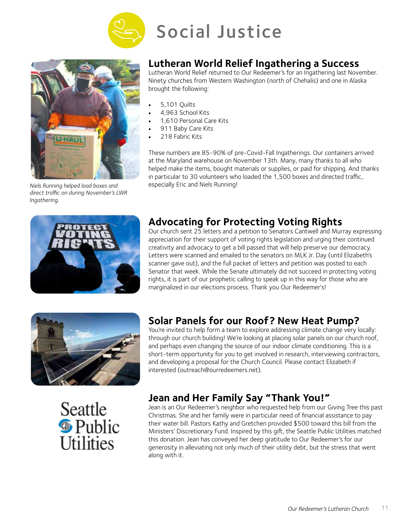



*Niels Running helped load boxes and direct traffic on during November's LWR Ingathering.*



### **Lutheran World Relief Ingathering a Success**

Lutheran World Relief returned to Our Redeemer's for an Ingathering last November. Ninety churches from Western Washington (north of Chehalis) and one in Alaska brought the following:

- 5,101 Quilts
- 4,963 School Kits
- 1,610 Personal Care Kits
- 911 Baby Care Kits
- 218 Fabric Kits

These numbers are 85-90% of pre-Covid-Fall Ingatherings. Our containers arrived at the Maryland warehouse on November 13th. Many, many thanks to all who helped make the items, bought materials or supplies, or paid for shipping. And thanks in particular to 30 volunteers who loaded the 1,500 boxes and directed traffic, especially Eric and Niels Running!

### **Advocating for Protecting Voting Rights**

Our church sent 25 letters and a petition to Senators Cantwell and Murray expressing appreciation for their support of voting rights legislation and urging their continued creativity and advocacy to get a bill passed that will help preserve our democracy. Letters were scanned and emailed to the senators on MLK Jr. Day (until Elizabeth's scanner gave out), and the full packet of letters and petition was posted to each Senator that week. While the Senate ultimately did not succeed in protecting voting rights, it is part of our prophetic calling to speak up in this way for those who are marginalized in our elections process. Thank you Our Redeemer's!



### **Solar Panels for our Roof? New Heat Pump?**

You're invited to help form a team to explore addressing climate change very locally: through our church building! We're looking at placing solar panels on our church roof, and perhaps even changing the source of our indoor climate conditioning. This is a short-term opportunity for you to get involved in research, interviewing contractors, and developing a proposal for the Church Council. Please contact Elizabeth if interested [\(outreach@ourredeemers.net](mailto:outreach%40ourredeemers.net?subject=)).



### **Jean and Her Family Say "Thank You!"**

Jean is an Our Redeemer's neighbor who requested help from our Giving Tree this past Christmas. She and her family were in particular need of financial assistance to pay their water bill. Pastors Kathy and Gretchen provided \$500 toward this bill from the Ministers' Discretionary Fund. Inspired by this gift, the Seattle Public Utilities matched this donation. Jean has conveyed her deep gratitude to Our Redeemer's for our generosity in alleviating not only much of their utility debt, but the stress that went along with it.